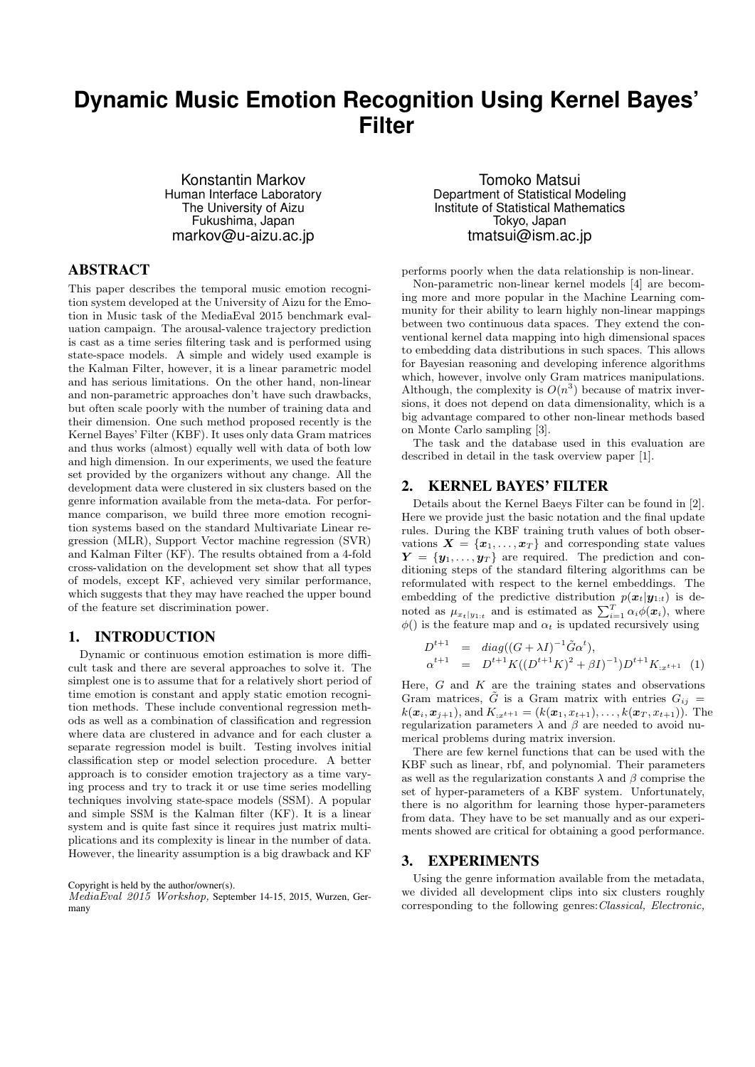# **Dynamic Music Emotion Recognition Using Kernel Bayes' Filter**

Konstantin Markov Human Interface Laboratory The University of Aizu Fukushima, Japan markov@u-aizu.ac.jp

## ABSTRACT

This paper describes the temporal music emotion recognition system developed at the University of Aizu for the Emotion in Music task of the MediaEval 2015 benchmark evaluation campaign. The arousal-valence trajectory prediction is cast as a time series filtering task and is performed using state-space models. A simple and widely used example is the Kalman Filter, however, it is a linear parametric model and has serious limitations. On the other hand, non-linear and non-parametric approaches don't have such drawbacks, but often scale poorly with the number of training data and their dimension. One such method proposed recently is the Kernel Bayes' Filter (KBF). It uses only data Gram matrices and thus works (almost) equally well with data of both low and high dimension. In our experiments, we used the feature set provided by the organizers without any change. All the development data were clustered in six clusters based on the genre information available from the meta-data. For performance comparison, we build three more emotion recognition systems based on the standard Multivariate Linear regression (MLR), Support Vector machine regression (SVR) and Kalman Filter (KF). The results obtained from a 4-fold cross-validation on the development set show that all types of models, except KF, achieved very similar performance, which suggests that they may have reached the upper bound of the feature set discrimination power.

#### 1. INTRODUCTION

Dynamic or continuous emotion estimation is more difficult task and there are several approaches to solve it. The simplest one is to assume that for a relatively short period of time emotion is constant and apply static emotion recognition methods. These include conventional regression methods as well as a combination of classification and regression where data are clustered in advance and for each cluster a separate regression model is built. Testing involves initial classification step or model selection procedure. A better approach is to consider emotion trajectory as a time varying process and try to track it or use time series modelling techniques involving state-space models (SSM). A popular and simple SSM is the Kalman filter (KF). It is a linear system and is quite fast since it requires just matrix multiplications and its complexity is linear in the number of data. However, the linearity assumption is a big drawback and KF

#### Copyright is held by the author/owner(s).

MediaEval 2015 Workshop, September 14-15, 2015, Wurzen, Germany

Tomoko Matsui Department of Statistical Modeling Institute of Statistical Mathematics Tokyo, Japan tmatsui@ism.ac.jp

performs poorly when the data relationship is non-linear.

Non-parametric non-linear kernel models [4] are becoming more and more popular in the Machine Learning community for their ability to learn highly non-linear mappings between two continuous data spaces. They extend the conventional kernel data mapping into high dimensional spaces to embedding data distributions in such spaces. This allows for Bayesian reasoning and developing inference algorithms which, however, involve only Gram matrices manipulations. Although, the complexity is  $O(n^3)$  because of matrix inversions, it does not depend on data dimensionality, which is a big advantage compared to other non-linear methods based on Monte Carlo sampling [3].

The task and the database used in this evaluation are described in detail in the task overview paper [1].

#### 2. KERNEL BAYES' FILTER

Details about the Kernel Baeys Filter can be found in [2]. Here we provide just the basic notation and the final update rules. During the KBF training truth values of both observations  $X = \{x_1, \ldots, x_T\}$  and corresponding state values  $Y = \{y_1, \ldots, y_T\}$  are required. The prediction and conditioning steps of the standard filtering algorithms can be reformulated with respect to the kernel embeddings. The embedding of the predictive distribution  $p(\boldsymbol{x}_t|\boldsymbol{y}_{1:t})$  is denoted as  $\mu_{x_t|y_{1:t}}$  and is estimated as  $\sum_{i=1}^T \alpha_i \phi(\boldsymbol{x}_i)$ , where  $\phi$ () is the feature map and  $\alpha_t$  is updated recursively using

$$
D^{t+1} = diag((G + \lambda I)^{-1} \tilde{G} \alpha^{t}),
$$
  
\n
$$
\alpha^{t+1} = D^{t+1} K((D^{t+1} K)^{2} + \beta I)^{-1}) D^{t+1} K_{:x^{t+1}}
$$
 (1)

Here,  $G$  and  $K$  are the training states and observations Gram matrices,  $\tilde{G}$  is a Gram matrix with entries  $G_{ij}$  =  $k(\mathbf{x}_i, \mathbf{x}_{j+1}),$  and  $K_{:x^{t+1}} = (k(\mathbf{x}_1, x_{t+1}), \ldots, k(\mathbf{x}_T, x_{t+1})).$  The regularization parameters  $\lambda$  and  $\beta$  are needed to avoid numerical problems during matrix inversion.

There are few kernel functions that can be used with the KBF such as linear, rbf, and polynomial. Their parameters as well as the regularization constants  $\lambda$  and  $\beta$  comprise the set of hyper-parameters of a KBF system. Unfortunately, there is no algorithm for learning those hyper-parameters from data. They have to be set manually and as our experiments showed are critical for obtaining a good performance.

#### 3. EXPERIMENTS

Using the genre information available from the metadata, we divided all development clips into six clusters roughly corresponding to the following genres:Classical, Electronic,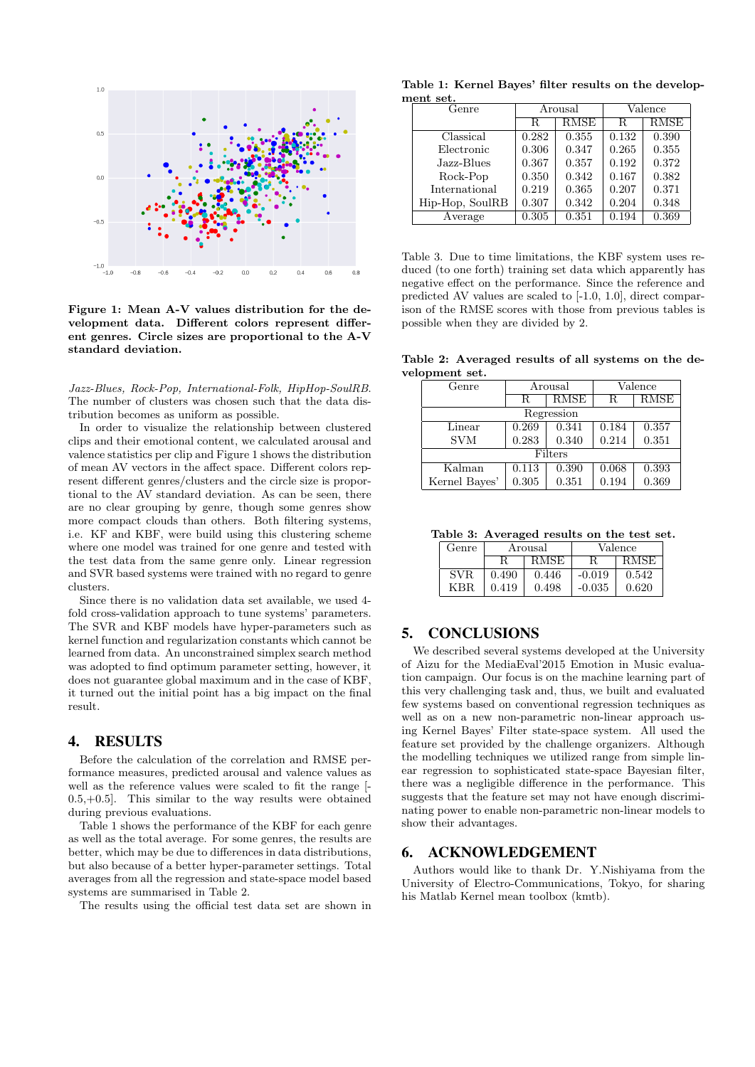

Figure 1: Mean A-V values distribution for the development data. Different colors represent different genres. Circle sizes are proportional to the A-V standard deviation.

Jazz-Blues, Rock-Pop, International-Folk, HipHop-SoulRB. The number of clusters was chosen such that the data distribution becomes as uniform as possible.

In order to visualize the relationship between clustered clips and their emotional content, we calculated arousal and valence statistics per clip and Figure 1 shows the distribution of mean AV vectors in the affect space. Different colors represent different genres/clusters and the circle size is proportional to the AV standard deviation. As can be seen, there are no clear grouping by genre, though some genres show more compact clouds than others. Both filtering systems, i.e. KF and KBF, were build using this clustering scheme where one model was trained for one genre and tested with the test data from the same genre only. Linear regression and SVR based systems were trained with no regard to genre clusters.

Since there is no validation data set available, we used 4 fold cross-validation approach to tune systems' parameters. The SVR and KBF models have hyper-parameters such as kernel function and regularization constants which cannot be learned from data. An unconstrained simplex search method was adopted to find optimum parameter setting, however, it does not guarantee global maximum and in the case of KBF, it turned out the initial point has a big impact on the final result.

#### 4. RESULTS

Before the calculation of the correlation and RMSE performance measures, predicted arousal and valence values as well as the reference values were scaled to fit the range [-  $(0.5, +0.5)$ . This similar to the way results were obtained during previous evaluations.

Table 1 shows the performance of the KBF for each genre as well as the total average. For some genres, the results are better, which may be due to differences in data distributions, but also because of a better hyper-parameter settings. Total averages from all the regression and state-space model based systems are summarised in Table 2.

The results using the official test data set are shown in

Table 1: Kernel Bayes' filter results on the developmont sot.

| Genre           | Arousal |             | Valence |       |
|-----------------|---------|-------------|---------|-------|
|                 | R       | <b>RMSE</b> | R       | RMSE  |
| Classical       | 0.282   | 0.355       | 0.132   | 0.390 |
| Electronic      | 0.306   | 0.347       | 0.265   | 0.355 |
| Jazz-Blues      | 0.367   | 0.357       | 0.192   | 0.372 |
| Rock-Pop        | 0.350   | 0.342       | 0.167   | 0.382 |
| International   | 0.219   | 0.365       | 0.207   | 0.371 |
| Hip-Hop, SoulRB | 0.307   | 0.342       | 0.204   | 0.348 |
| Average         | 0.305   | 0.351       | 0.194   | 0.369 |

Table 3. Due to time limitations, the KBF system uses reduced (to one forth) training set data which apparently has negative effect on the performance. Since the reference and predicted AV values are scaled to [-1.0, 1.0], direct comparison of the RMSE scores with those from previous tables is possible when they are divided by 2.

Table 2: Averaged results of all systems on the development set.

| Genre         | Arousal |             | Valence |             |  |  |  |
|---------------|---------|-------------|---------|-------------|--|--|--|
|               | R.      | <b>RMSE</b> | R       | <b>RMSE</b> |  |  |  |
| Regression    |         |             |         |             |  |  |  |
| Linear        | 0.269   | 0.341       | 0.184   | 0.357       |  |  |  |
| <b>SVM</b>    | 0.283   | 0.340       | 0.214   | 0.351       |  |  |  |
| Filters       |         |             |         |             |  |  |  |
| Kalman        | 0.113   | 0.390       | 0.068   | 0.393       |  |  |  |
| Kernel Bayes' | 0.305   | 0.351       | 0.194   | 0.369       |  |  |  |

Table 3: Averaged results on the test set.

| Genre      | Arousal |       | Valence  |             |
|------------|---------|-------|----------|-------------|
|            |         | RMSE  |          | <b>RMSE</b> |
| <b>SVR</b> | 0.490   | 0.446 | $-0.019$ | 0.542       |
| KBR        | 0.419   | 0.498 | $-0.035$ | 0.620       |

### 5. CONCLUSIONS

We described several systems developed at the University of Aizu for the MediaEval'2015 Emotion in Music evaluation campaign. Our focus is on the machine learning part of this very challenging task and, thus, we built and evaluated few systems based on conventional regression techniques as well as on a new non-parametric non-linear approach using Kernel Bayes' Filter state-space system. All used the feature set provided by the challenge organizers. Although the modelling techniques we utilized range from simple linear regression to sophisticated state-space Bayesian filter, there was a negligible difference in the performance. This suggests that the feature set may not have enough discriminating power to enable non-parametric non-linear models to show their advantages.

#### 6. ACKNOWLEDGEMENT

Authors would like to thank Dr. Y.Nishiyama from the University of Electro-Communications, Tokyo, for sharing his Matlab Kernel mean toolbox (kmtb).